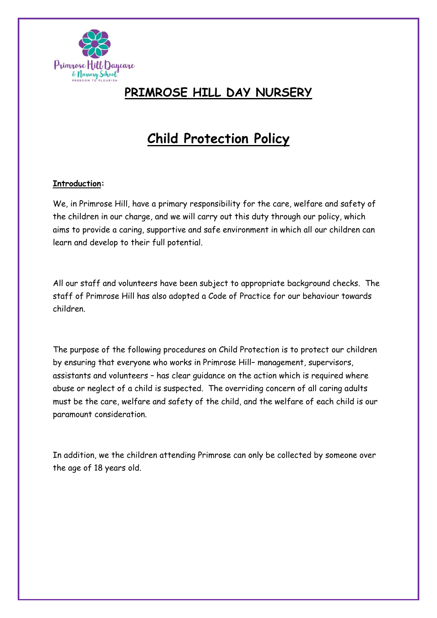

### **PRIMROSE HILL DAY NURSERY**

## **Child Protection Policy**

#### **Introduction:**

We, in Primrose Hill, have a primary responsibility for the care, welfare and safety of the children in our charge, and we will carry out this duty through our policy, which aims to provide a caring, supportive and safe environment in which all our children can learn and develop to their full potential.

All our staff and volunteers have been subject to appropriate background checks. The staff of Primrose Hill has also adopted a Code of Practice for our behaviour towards children.

The purpose of the following procedures on Child Protection is to protect our children by ensuring that everyone who works in Primrose Hill– management, supervisors, assistants and volunteers – has clear guidance on the action which is required where abuse or neglect of a child is suspected. The overriding concern of all caring adults must be the care, welfare and safety of the child, and the welfare of each child is our paramount consideration.

In addition, we the children attending Primrose can only be collected by someone over the age of 18 years old.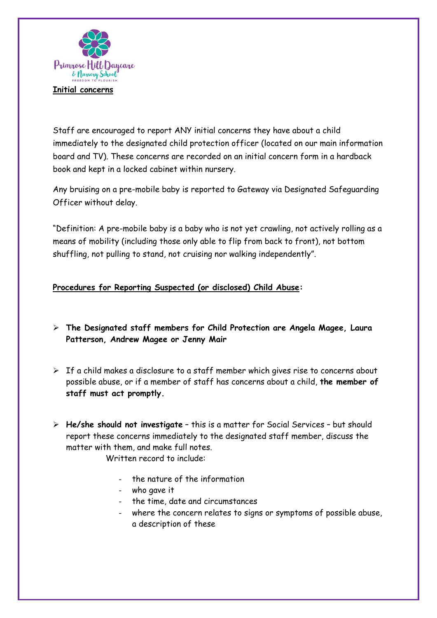

Staff are encouraged to report ANY initial concerns they have about a child immediately to the designated child protection officer (located on our main information board and TV). These concerns are recorded on an initial concern form in a hardback book and kept in a locked cabinet within nursery.

Any bruising on a pre-mobile baby is reported to Gateway via Designated Safeguarding Officer without delay.

"Definition: A pre-mobile baby is a baby who is not yet crawling, not actively rolling as a means of mobility (including those only able to flip from back to front), not bottom shuffling, not pulling to stand, not cruising nor walking independently".

#### **Procedures for Reporting Suspected (or disclosed) Child Abuse:**

- ➢ **The Designated staff members for Child Protection are Angela Magee, Laura Patterson, Andrew Magee or Jenny Mair**
- $\triangleright$  If a child makes a disclosure to a staff member which gives rise to concerns about possible abuse, or if a member of staff has concerns about a child, **the member of staff must act promptly.**
- ➢ **He/she should not investigate** this is a matter for Social Services but should report these concerns immediately to the designated staff member, discuss the matter with them, and make full notes.

Written record to include:

- the nature of the information
- who gave it
- the time, date and circumstances
- where the concern relates to signs or symptoms of possible abuse, a description of these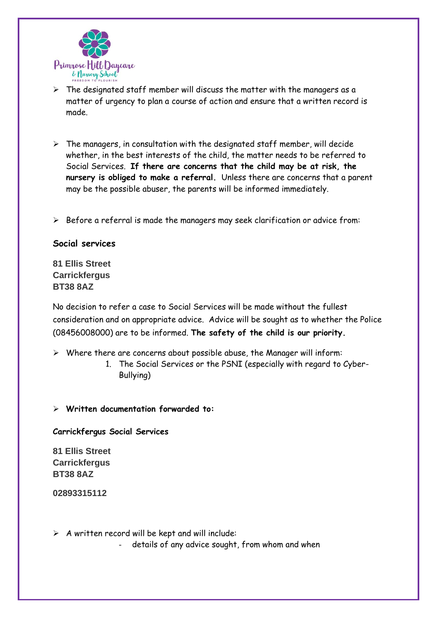

- $\triangleright$  The designated staff member will discuss the matter with the managers as a matter of urgency to plan a course of action and ensure that a written record is made.
- $\triangleright$  The managers, in consultation with the designated staff member, will decide whether, in the best interests of the child, the matter needs to be referred to Social Services. **If there are concerns that the child may be at risk, the nursery is obliged to make a referral.** Unless there are concerns that a parent may be the possible abuser, the parents will be informed immediately.
- ➢ Before a referral is made the managers may seek clarification or advice from:

#### **Social services**

**81 Ellis Street Carrickfergus BT38 8AZ**

No decision to refer a case to Social Services will be made without the fullest consideration and on appropriate advice. Advice will be sought as to whether the Police (08456008000) are to be informed. **The safety of the child is our priority.**

- ➢ Where there are concerns about possible abuse, the Manager will inform:
	- 1. The Social Services or the PSNI (especially with regard to Cyber-Bullying)
- ➢ **Written documentation forwarded to:**

#### **Carrickfergus Social Services**

**81 Ellis Street Carrickfergus BT38 8AZ**

**02893315112**

 $\triangleright$  A written record will be kept and will include:

details of any advice sought, from whom and when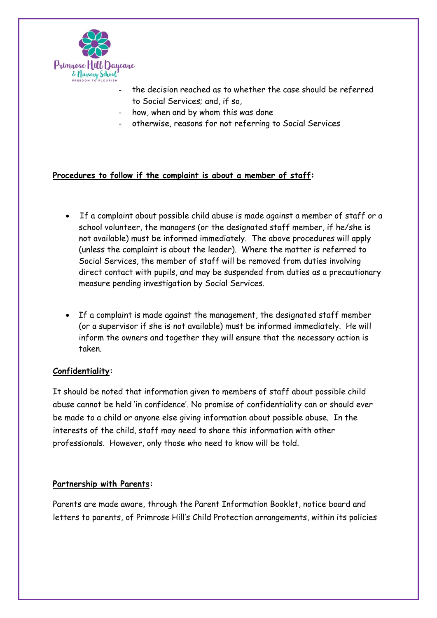

- the decision reached as to whether the case should be referred to Social Services; and, if so,
- how, when and by whom this was done
- otherwise, reasons for not referring to Social Services

#### **Procedures to follow if the complaint is about a member of staff:**

- If a complaint about possible child abuse is made against a member of staff or a school volunteer, the managers (or the designated staff member, if he/she is not available) must be informed immediately. The above procedures will apply (unless the complaint is about the leader). Where the matter is referred to Social Services, the member of staff will be removed from duties involving direct contact with pupils, and may be suspended from duties as a precautionary measure pending investigation by Social Services.
- If a complaint is made against the management, the designated staff member (or a supervisor if she is not available) must be informed immediately. He will inform the owners and together they will ensure that the necessary action is taken.

#### **Confidentiality:**

It should be noted that information given to members of staff about possible child abuse cannot be held 'in confidence'. No promise of confidentiality can or should ever be made to a child or anyone else giving information about possible abuse. In the interests of the child, staff may need to share this information with other professionals. However, only those who need to know will be told.

#### **Partnership with Parents:**

Parents are made aware, through the Parent Information Booklet, notice board and letters to parents, of Primrose Hill's Child Protection arrangements, within its policies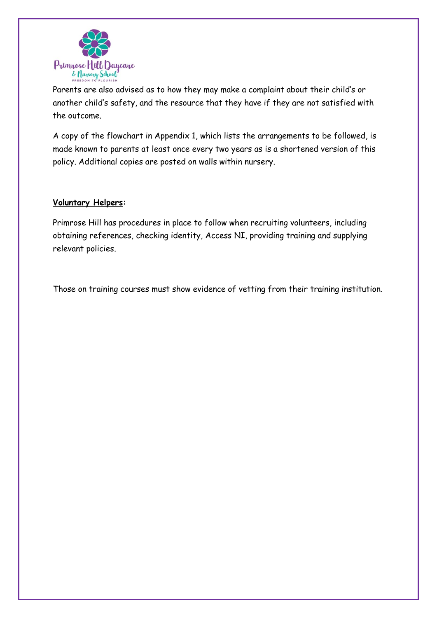

Parents are also advised as to how they may make a complaint about their child's or another child's safety, and the resource that they have if they are not satisfied with the outcome.

A copy of the flowchart in Appendix 1, which lists the arrangements to be followed, is made known to parents at least once every two years as is a shortened version of this policy. Additional copies are posted on walls within nursery.

#### **Voluntary Helpers:**

Primrose Hill has procedures in place to follow when recruiting volunteers, including obtaining references, checking identity, Access NI, providing training and supplying relevant policies.

Those on training courses must show evidence of vetting from their training institution.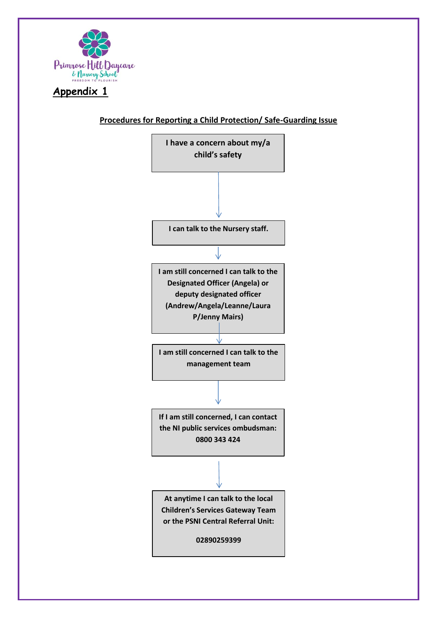

### **Appendix 1**

#### **Procedures for Reporting a Child Protection/ Safe-Guarding Issue**